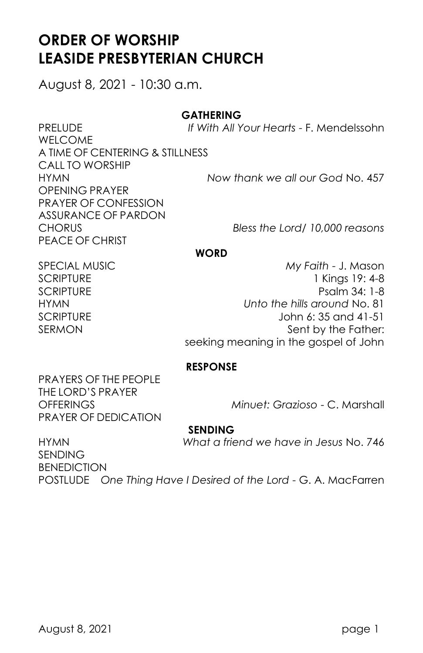# **ORDER OF WORSHIP LEASIDE PRESBYTERIAN CHURCH**

August 8, 2021 - 10:30 a.m.

#### **GATHERING**

PRELUDE *If With All Your Hearts* - F. Mendelssohn

WELCOME A TIME OF CENTERING & STILLNESS CALL TO WORSHIP HYMN *Now thank we all our God* No. 457 OPENING PRAYER PRAYER OF CONFESSION ASSURANCE OF PARDON CHORUS *Bless the Lord/ 10,000 reasons* PEACE OF CHRIST

#### **WORD**

SPECIAL MUSIC *My Faith* - J. Mason SCRIPTURE 1 Kings 19: 4-8 SCRIPTURE Product to the psalm 34: 1-8 HYMN *Unto the hills around* No. 81 SCRIPTURE John 6: 35 and 41-51 SERMON SERMON SERMON SERMON seeking meaning in the gospel of John

## **RESPONSE**

PRAYERS OF THE PEOPLE THE LORD'S PRAYER PRAYER OF DEDICATION

OFFERINGS *Minuet: Grazioso* - C. Marshall

## **SENDING**

HYMN *What a friend we have in Jesus* No. 746

**SENDING BENEDICTION** POSTLUDE *One Thing Have I Desired of the Lord* - G. A. MacFarren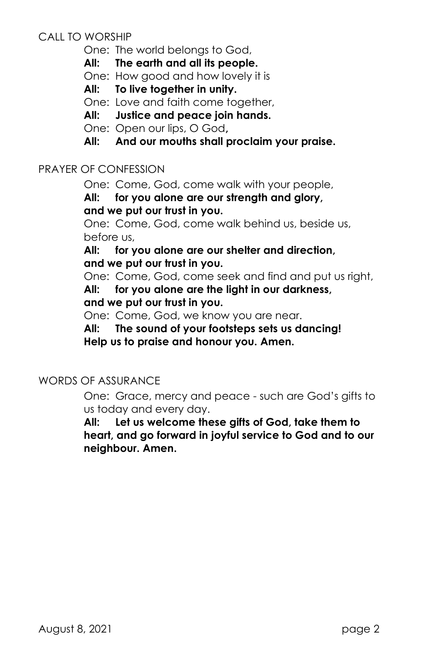CALL TO WORSHIP

One: The world belongs to God,

**All: The earth and all its people.**

One: How good and how lovely it is

**All: To live together in unity.**

One: Love and faith come together,

**All: Justice and peace join hands.**

One: Open our lips, O God**,**

## **All: And our mouths shall proclaim your praise.**

## PRAYER OF CONFESSION

One: Come, God, come walk with your people,

#### **All: for you alone are our strength and glory, and we put our trust in you.**

One: Come, God, come walk behind us, beside us, before us,

**All: for you alone are our shelter and direction, and we put our trust in you.** 

One: Come, God, come seek and find and put us right,

**All: for you alone are the light in our darkness,**

**and we put our trust in you.**

One: Come, God, we know you are near.

**All: The sound of your footsteps sets us dancing! Help us to praise and honour you. Amen.**

## WORDS OF ASSURANCE

One: Grace, mercy and peace - such are God's gifts to us today and every day.

**All: Let us welcome these gifts of God, take them to heart, and go forward in joyful service to God and to our neighbour. Amen.**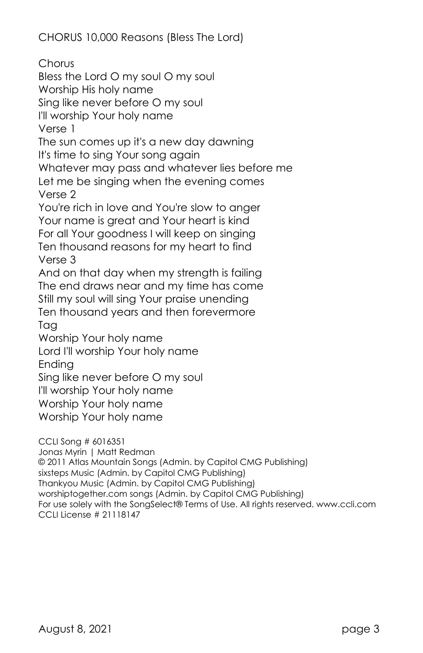CHORUS 10,000 Reasons (Bless The Lord)

Chorus Bless the Lord O my soul O my soul Worship His holy name Sing like never before O my soul I'll worship Your holy name Verse 1 The sun comes up it's a new day dawning It's time to sing Your song again Whatever may pass and whatever lies before me Let me be singing when the evening comes Verse 2 You're rich in love and You're slow to anger Your name is great and Your heart is kind For all Your goodness I will keep on singing Ten thousand reasons for my heart to find Verse 3 And on that day when my strength is failing The end draws near and my time has come Still my soul will sing Your praise unending Ten thousand years and then forevermore Tag Worship Your holy name Lord I'll worship Your holy name Ending Sing like never before O my soul I'll worship Your holy name Worship Your holy name Worship Your holy name

CCLI Song # 6016351

Jonas Myrin | Matt Redman © 2011 Atlas Mountain Songs (Admin. by Capitol CMG Publishing) sixsteps Music (Admin. by Capitol CMG Publishing) Thankyou Music (Admin. by Capitol CMG Publishing) worshiptogether.com songs (Admin. by Capitol CMG Publishing) For use solely with the SongSelect® Terms of Use. All rights reserved. www.ccli.com CCLI License # 21118147